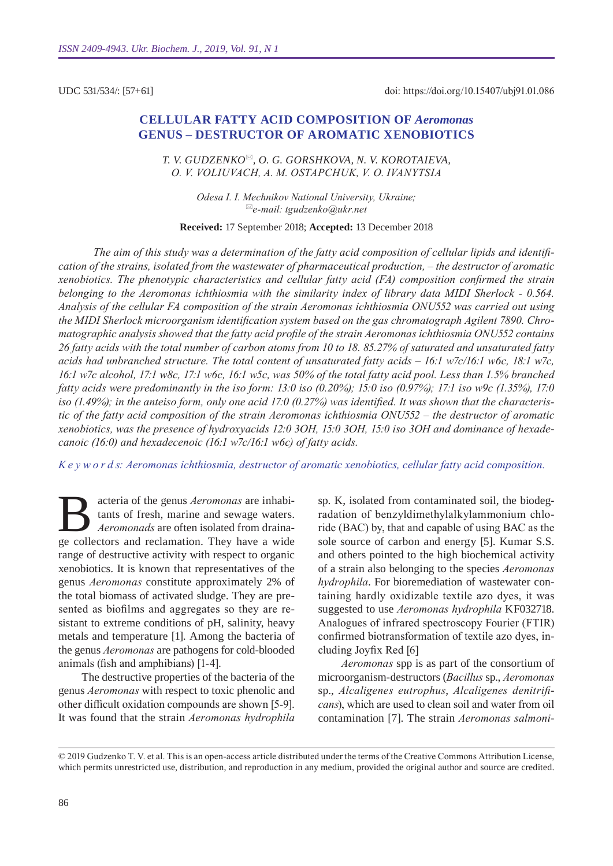UDC 531/534/: [57+61]

# **Cellular fatty acid composition of** *Aeromonas* **genus – destructor of aromatic xenobiotics**

*T. V. Gudzenko, O. G. Gorshkova, N. V. Korotaieva, O. V. Voliuvach, А. М. Ostapchuk, V. O. Іvanytsia*

> *Оdesa I. I. Mechnikov National University, Ukraine; e-mail: tgudzenko@ukr.net*

**Received:** 17 September 2018; **Accepted:** 13 December 2018

*The aim of this study was a determination of the fatty acid composition of cellular lipids and identification of the strains, isolated from the wastewater of pharmaceutical production, – the destructor of aromatic xenobiotics. The phenotypic characteristics and cellular fatty acid (FA) composition confirmed the strain belonging to the Aeromonas ichthiosmia with the similarity index of library data MIDI Sherlock - 0.564. Analysis of the cellular FA composition of the strain Aeromonas ichthiosmia ONU552 was carried out using the MIDI Sherlock microorganism identification system based on the gas chromatograph Agilent 7890. Chromatographic analysis showed that the fatty acid profile of the strain Aeromonas ichthiosmia ONU552 contains 26 fatty acids with the total number of carbon atoms from 10 to 18. 85.27% of saturated and unsaturated fatty acids had unbranched structure. The total content of unsaturated fatty acids – 16:1 w7c/16:1 w6c, 18:1 w7c, 16:1 w7c alcohol, 17:1 w8c, 17:1 w6c, 16:1 w5c, was 50% of the total fatty acid pool. Less than 1.5% branched fatty acids were predominantly in the iso form: 13:0 iso (0.20%); 15:0 iso (0.97%); 17:1 iso w9c (1.35%), 17:0 iso (1.49%); in the anteiso form, only one acid 17:0 (0.27%) was identified. It was shown that the characteristic of the fatty acid composition of the strain Aeromonas ichthiosmia ONU552 – the destructor of aromatic xenobiotics, was the presence of hydroxyacids 12:0 3OH, 15:0 3OH, 15:0 iso 3OH and dominance of hexadecanoic (16:0) and hexadecenoic (16:1 w7c/16:1 w6c) of fatty acids.*

*K e y w o r d s: Aeromonas ichthiosmia, destructor of aromatic xenobiotics, cellular fatty acid composition.*

Bacteria of the genus *Aeromonas* are inhabitants of fresh, marine and sewage waters.<br>Aeromonads are often isolated from draina-<br>ge collectors and reclamation. They have a wide tants of fresh, marine and sewage waters. *Aeromonads* are often isolated from drainage collectors and reclamation. They have a wide range of destructive activity with respect to organic xenobiotics. It is known that representatives of the genus *Aeromonas* constitute approximately 2% of the total biomass of activated sludge. They are presented as biofilms and aggregates so they are resistant to extreme conditions of pH, salinity, heavy metals and temperature [1]. Among the bacteria of the genus *Aeromonas* are pathogens for cold-blooded animals (fish and amphibians) [1-4].

The destructive properties of the bacteria of the genus *Aeromonas* with respect to toxic phenolic and other difficult oxidation compounds are shown [5-9]. It was found that the strain *Aeromonas hydrophila*  sp. K, isolated from contaminated soil, the biodegradation of benzyldimethylalkylammonium chloride (BAC) by, that and capable of using BAC as the sole source of carbon and energy [5]. Kumar S.S. and others pointed to the high biochemical activity of a strain also belonging to the species *Aeromonas hydrophila*. For bioremediation of wastewater containing hardly oxidizable textile azo dyes, it was suggested to use *Aeromonas hydrophila* KF032718. Analogues of infrared spectroscopy Fourier (FTIR) confirmed biotransformation of textile azo dyes, including Joyfix Red [6]

*Aeromonas* spp is as part of the consortium of microorganism-destructors (*Bacillus* sp., *Aeromonas*  sp., *Alcaligenes eutrophus*, *Alcaligenes denitrificans*), which are used to clean soil and water from oil contamination [7]. The strain *Aeromonas salmoni-*

<sup>© 2019</sup> Gudzenko T. V. et al. This is an open-access article distributed under the terms of the Creative Commons Attribution License, which permits unrestricted use, distribution, and reproduction in any medium, provided the original author and source are credited.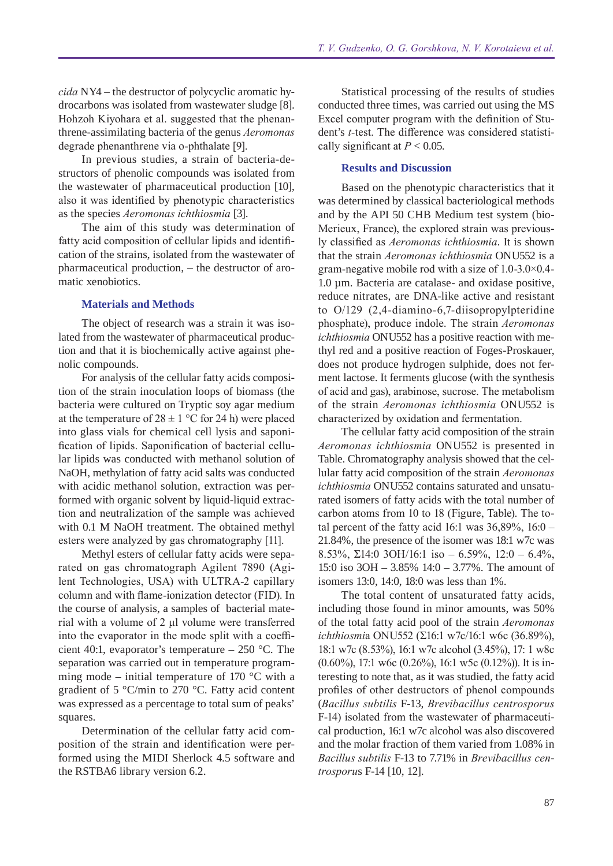*cida* NY4 – the destructor of polycyclic aromatic hydrocarbons was isolated from wastewater sludge [8]. Hohzoh Kiyohara et al. suggested that the phenanthrene-assimilating bacteria of the genus *Aeromonas* degrade phenanthrene via o-phthalate [9].

In previous studies, a strain of bacteria-destructors of phenolic compounds was isolated from the wastewater of pharmaceutical production [10], also it was identified by phenotypic characteristics as the species *Aeromonas ichthiosmia* [3].

The aim of this study was determination of fatty acid composition of cellular lipids and identification of the strains, isolated from the wastewater of pharmaceutical production, – the destructor of aromatic xenobiotics.

#### **Materials and Methods**

The object of research was a strain it was isolated from the wastewater of pharmaceutical production and that it is biochemically active against phenolic compounds.

For analysis of the cellular fatty acids composition of the strain inoculation loops of biomass (the bacteria were cultured on Tryptic soy agar medium at the temperature of  $28 \pm 1$  °C for 24 h) were placed into glass vials for chemical cell lysis and saponification of lipids. Saponification of bacterial cellular lipids was conducted with methanol solution of NaOH, methylation of fatty acid salts was conducted with acidic methanol solution, extraction was performed with organic solvent by liquid-liquid extraction and neutralization of the sample was achieved with 0.1 M NaOH treatment. The obtained methyl esters were analyzed by gas chromatography [11].

Methyl esters of cellular fatty acids were separated on gas chromatograph Agilent 7890 (Agilent Technologies, USA) with ULTRA-2 capillary column and with flame-ionization detector (FID). In the course of analysis, a samples of bacterial material with a volume of 2 μl volume were transferred into the evaporator in the mode split with a coefficient 40:1, evaporator's temperature – 250 °C. The separation was carried out in temperature programming mode – initial temperature of 170  $\degree$ C with a gradient of 5 °C/min to 270 °C. Fatty acid content was expressed as a percentage to total sum of peaks' squares.

Determination of the cellular fatty acid composition of the strain and identification were performed using the MIDI Sherlock 4.5 software and the RSTBA6 library version 6.2.

Statistical processing of the results of studies conducted three times, was carried out using the MS Excel computer program with the definition of Student's *t-*test. The difference was considered statistically significant at  $P < 0.05$ .

### **Results and Discussion**

Based on the phenotypic characteristics that it was determined by classical bacteriological methods and by the API 50 CHB Medium test system (bio-Merieux, France), the explored strain was previously classified as *Aeromonas ichthiosmia*. It is shown that the strain *Aeromonas ichthiosmia* ONU552 is a gram-negative mobile rod with a size of 1.0-3.0×0.4- 1.0 µm. Bacteria are catalase- and oxidase positive, reduce nitrates, are DNA-like active and resistant to O/129 (2,4-diamino-6,7-diisopropylpteridine phosphate), produce indole. The strain *Aeromonas ichthiosmia* ONU552 has a positive reaction with methyl red and a positive reaction of Foges-Proskauer, does not produce hydrogen sulphide, does not ferment lactose. It ferments glucose (with the synthesis of acid and gas), arabinose, sucrose. The metabolism of the strain *Aeromonas ichthiosmia* ONU552 is characterized by oxidation and fermentation.

The cellular fatty acid composition of the strain *Aeromonas ichthiosmia* ONU552 is presented in Table. Chromatography analysis showed that the cellular fatty acid composition of the strain *Aeromonas ichthiosmia* ONU552 contains saturated and unsaturated isomers of fatty acids with the total number of carbon atoms from 10 to 18 (Figure, Table). The total percent of the fatty acid 16:1 was  $36,89\%$ ,  $16:0 -$ 21.84%, the presence of the isomer was 18:1 w7c was 8.53%,  $\Sigma$ 14:0 3OH/16:1 iso – 6.59%, 12:0 – 6.4%, 15:0 iso 3OH – 3.85% 14:0 – 3.77%. The amount of isomers 13:0, 14:0, 18:0 was less than 1%.

The total content of unsaturated fatty acids, including those found in minor amounts, was 50% of the total fatty acid pool of the strain *Aeromonas ichthiosmi*a ONU552 (Σ16:1 w7c/16:1 w6c (36.89%), 18:1 w7c (8.53%), 16:1 w7c alcohol (3.45%), 17: 1 w8c (0.60%), 17:1 w6c (0.26%), 16:1 w5c (0.12%)). It is interesting to note that, as it was studied, the fatty acid profiles of other destructors of phenol compounds (*Bacillus subtilis* F-13, *Brevibacillus centrosporus*  F-14) isolated from the wastewater of pharmaceutical production, 16:1 w7c alcohol was also discovered and the molar fraction of them varied from 1.08% in *Bacillus subtilis* F-13 to 7.71% in *Brevibacillus centrosporu*s F-14 [10, 12].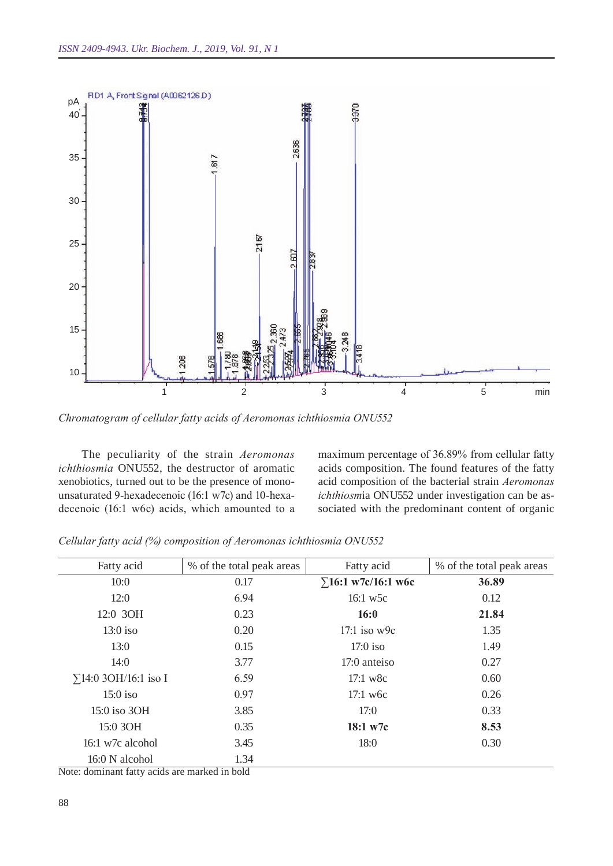

*Chromatogram of cellular fatty acids of Aeromonas ichthiosmia ONU 552*

The peculiarity of the strain *Aeromonas ichthiosmia* ONU552, the destructor of aromatic xenobiotics, turned out to be the presence of monounsaturated 9-hexadecenoic (16:1 w7c) and 10-hexadecenoic (16:1 w6c) acids, which amounted to a maximum percentage of 36.89% from cellular fatty acids composition. The found features of the fatty acid composition of the bacterial strain *Aeromonas ichthiosm*ia ONU552 under investigation can be associated with the predominant content of organic

| Fatty acid                                    | % of the total peak areas | Fatty acid                 | % of the total peak areas |
|-----------------------------------------------|---------------------------|----------------------------|---------------------------|
| 10:0                                          | 0.17                      | $\Sigma$ 16:1 w7c/16:1 w6c | 36.89                     |
| 12:0                                          | 6.94                      | 16:1 w5c                   | 0.12                      |
| 12:0 3OH                                      | 0.23                      | 16:0                       | 21.84                     |
| $13:0$ iso                                    | 0.20                      | $17:1$ iso w9c             | 1.35                      |
| 13:0                                          | 0.15                      | $17:0$ iso                 | 1.49                      |
| 14:0                                          | 3.77                      | 17:0 anteiso               | 0.27                      |
| $\Sigma$ 14:0 3OH/16:1 iso I                  | 6.59                      | $17:1 \text{ w8c}$         | 0.60                      |
| $15:0$ iso                                    | 0.97                      | $17:1$ w <sub>6c</sub>     | 0.26                      |
| 15:0 iso 3OH                                  | 3.85                      | 17:0                       | 0.33                      |
| 15:0 3OH                                      | 0.35                      | 18:1 w7c                   | 8.53                      |
| $16:1 \text{ w7c alcohol}$                    | 3.45                      | 18:0                       | 0.30                      |
| 16:0 N alcohol                                | 1.34                      |                            |                           |
| Note: dominant fatty acids are marked in bold |                           |                            |                           |

*Cellular fatty acid (%) composition of Aeromonas ichthiosmia ONU 552*

88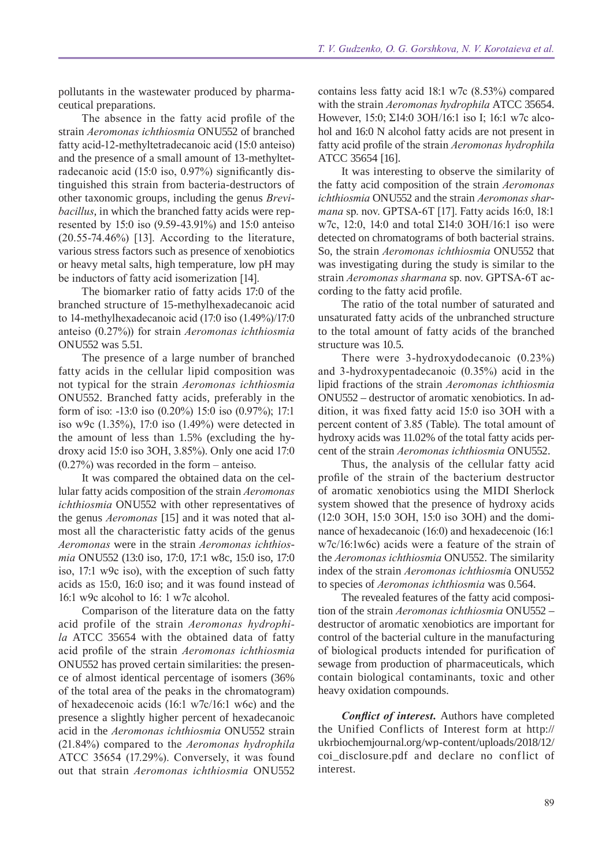pollutants in the wastewater produced by pharmaceutical preparations.

The absence in the fatty acid profile of the strain *Aeromonas ichthiosmia* ONU552 of branched fatty acid-12-methyltetradecanoic acid (15:0 anteiso) and the presence of a small amount of 13-methyltetradecanoic acid (15:0 iso, 0.97%) significantly distinguished this strain from bacteria-destructors of other taxonomic groups, including the genus *Brevibacillus*, in which the branched fatty acids were represented by 15:0 iso (9.59-43.91%) and 15:0 anteiso (20.55-74.46%) [13]. According to the literature, various stress factors such as presence of xenobiotics or heavy metal salts, high temperature, low pH may be inductors of fatty acid isomerization [14].

The biomarker ratio of fatty acids 17:0 of the branched structure of 15-methylhexadecanoic acid to 14-methylhexadecanoic acid (17:0 iso (1.49%)/17:0 anteiso (0.27%)) for strain *Aeromonas ichthiosmia* ONU552 was 5.51.

The presence of a large number of branched fatty acids in the cellular lipid composition was not typical for the strain *Aeromonas ichthiosmia*  ONU552. Branched fatty acids, preferably in the form of iso: -13:0 iso (0.20%) 15:0 iso (0.97%); 17:1 iso w9c (1.35%), 17:0 iso (1.49%) were detected in the amount of less than 1.5% (excluding the hydroxy acid 15:0 iso 3OH, 3.85%). Only one acid 17:0 (0.27%) was recorded in the form – anteiso.

It was compared the obtained data on the cellular fatty acids composition of the strain *Aeromonas ichthiosmia* ONU552 with other representatives of the genus *Aeromonas* [15] and it was noted that almost all the characteristic fatty acids of the genus *Aeromonas* were in the strain *Aeromonas ichthiosmia* ONU552 (13:0 iso, 17:0, 17:1 w8c, 15:0 iso, 17:0 iso, 17:1 w9c iso), with the exception of such fatty acids as 15:0, 16:0 iso; and it was found instead of 16:1 w9c alcohol to 16: 1 w7c alcohol.

Comparison of the literature data on the fatty acid profile of the strain *Aeromonas hydrophila* ATCC 35654 with the obtained data of fatty acid profile of the strain *Aeromonas ichthiosmia* ONU552 has proved certain similarities: the presence of almost identical percentage of isomers (36% of the total area of the peaks in the chromatogram) of hexadecenoic acids (16:1 w7c/16:1 w6c) and the presence a slightly higher percent of hexadecanoic acid in the *Aeromonas ichthiosmia* ONU552 strain (21.84%) compared to the *Aeromonas hydrophila*  ATCC 35654 (17.29%). Conversely, it was found out that strain *Aeromonas ichthiosmia* ONU552

contains less fatty acid 18:1 w7c (8.53%) compared with the strain *Aeromonas hydrophila* ATCC 35654. However, 15:0; Σ14:0 3OH/16:1 iso I; 16:1 w7c alcohol and 16:0 N alcohol fatty acids are not present in fatty acid profile of the strain *Aeromonas hydrophila*  ATCC 35654 [16].

It was interesting to observe the similarity of the fatty acid composition of the strain *Aeromonas ichthiosmia* ONU552 and the strain *Aeromonas sharmana* sp. nov. GPTSA-6T [17]. Fatty acids 16:0, 18:1 w7c, 12:0, 14:0 and total Σ14:0 3OH/16:1 iso were detected on chromatograms of both bacterial strains. So, the strain *Aeromonas ichthiosmia* ONU552 that was investigating during the study is similar to the strain *Aeromonas sharmana* sp. nov. GPTSA-6T according to the fatty acid profile.

The ratio of the total number of saturated and unsaturated fatty acids of the unbranched structure to the total amount of fatty acids of the branched structure was 10.5.

There were 3-hydroxydodecanoic (0.23%) and 3-hydroxypentadecanoic (0.35%) acid in the lipid fractions of the strain *Aeromonas ichthiosmia*  ONU552 – destructor of aromatic xenobiotics. In addition, it was fixed fatty acid 15:0 iso 3OH with a percent content of 3.85 (Table). The total amount of hydroxy acids was 11.02% of the total fatty acids percent of the strain *Aeromonas ichthiosmia* ONU552.

Thus, the analysis of the cellular fatty acid profile of the strain of the bacterium destructor of aromatic xenobiotics using the MIDI Sherlock system showed that the presence of hydroxy acids (12:0 3OH, 15:0 3OH, 15:0 iso 3ОН) and the dominance of hexadecanoic (16:0) and hexadecenoic (16:1 w7c/16:1w6c) acids were a feature of the strain of the *Aeromonas ichthiosmia* ONU552. The similarity index of the strain *Aeromonas ichthiosmi*a ONU552 to species of *Aeromonas ichthiosmia* was 0.564.

The revealed features of the fatty acid composition of the strain *Aeromonas ichthiosmia* ONU552 – destructor of aromatic xenobiotics are important for control of the bacterial culture in the manufacturing of biological products intended for purification of sewage from production of pharmaceuticals, which contain biological contaminants, toxic and other heavy oxidation compounds.

*Conflict of interest.* Authors have completed the Unified Conflicts of Interest form at http:// ukrbiochemjournal.org/wp-content/uploads/2018/12/ coi\_disclosure.pdf and declare no conflict of interest.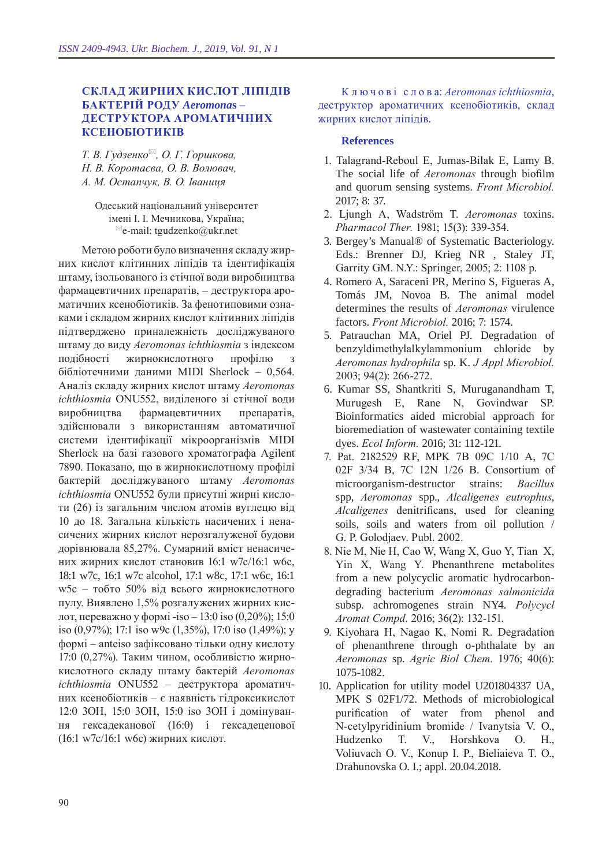# **Склад жирних кислот ліпідів бактерій роду** *Aeromona***s – деструктора ароматичних ксенобіотиків**

*Т. В. Гудзенко, О. Г. Горшкова, Н. В. Коротаєва, О. В. Волювач, А. М. Остапчук, В. О. Іваниця*

Одеський національний університет імені І. І. Мечникова, Україна;  $e$ -mail: tgudzenko@ukr.net

Метою роботи було визначення складу жирних кислот клітинних ліпідів та ідентифікація штаму, ізольованого із стічної води виробництва фармацевтичних препаратів, – деструктора ароматичних ксенобіотиків. За фенотиповими ознаками і складом жирних кислот клітинних ліпідів підтверджено приналежність досліджуваного штаму до виду *Aeromonas ichthiosmia* з індексом подібності жирнокислотного профілю з бібліотечними даними MIDI Sherlock – 0,564. Аналіз складу жирних кислот штаму *Aeromonas ichthiosmia* ONU552, виділеного зі стічної води виробництва фармацевтичних препаратів, здійснювали з використанням автоматичної системи ідентифікації мікроорганізмів MIDI Sherlock на базі газового хроматографа Agilent 7890. Показано, що в жирнокислотному профілі бактерій досліджуваного штаму *Aeromonas ichthiosmia* ONU552 були присутні жирні кислоти (26) із загальним числом атомів вуглецю від 10 до 18. Загальна кількість насичених і ненасичених жирних кислот нерозгалуженої будови дорівнювала 85,27%. Сумарний вміст ненасичених жирних кислот становив 16:1 w7c/16:1 w6c, 18:1 w7c, 16:1 w7c alcohol, 17:1 w8c, 17:1 w6c, 16:1 w5c – тобто 50% від всього жирнокислотного пулу. Виявлено 1,5% розгалужених жирних кислот, переважно у формі -іso – 13:0 iso (0,20%); 15:0 iso (0,97%); 17:1 iso w9c (1,35%), 17:0 iso (1,49%); у формі – аnteiso зафіксовано тільки одну кислоту 17:0 (0,27%). Таким чином, особливістю жирнокислотного складу штаму бактерій *Aeromonas ichthiosmia* ONU552 – деструктора ароматичних ксенобіотиків – є наявність гідроксикислот 12:0 3ОН, 15:0 3ОН, 15:0 iso 3ОН і домінування гексадеканової (16:0) і гексадеценової (16:1 w7c/16:1 w6c) жирних кислот.

К л ю ч о в і с л о в а: *Aeromonas ichthiosmia*, деструктор ароматичних ксенобіотиків, склад жирних кислот ліпідів.

### **References**

- 1. Talagrand-Reboul E, Jumas-Bilak E, Lamy B. The social life of *Aeromonas* through biofilm and quorum sensing systems. *Front Microbiol.*  2017; 8: 37.
- 2. Ljungh A, Wadström T. *Aeromonas* toxins. *Pharmacol Ther.* 1981; 15(3): 339-354.
- 3. Bergey's Manual® of Systematic Bacteriology. Eds.: Brenner DJ, Krieg NR , Staley JT, Garrity GM. N.Y.: Springer, 2005; 2: 1108 p.
- 4. Romero A, Saraceni PR, Merino S, Figueras A, Tomás JM, Novoa B. The animal model determines the results of *Aeromonas* virulence factors. *Front Microbiol.* 2016; 7: 1574.
- 5. Patrauchan MA, Oriel PJ. Degradation of benzyldimethylalkylammonium chloride by *Aeromonas hydrophila* sp. K. *J Appl Microbiol.*  2003; 94(2): 266-272.
- 6. Kumar SS, Shantkriti S, Muruganandham T, Murugesh E, Rane N, Govindwar SP. Bioinformatics aided microbial approach for bioremediation of wastewater containing textile dyes. *Ecol Inform.* 2016; 31: 112-121.
- 7. Pat. 2182529 RF, MPK 7B 09C 1/10 A, 7C 02F 3/34 B, 7C 12N 1/26 B. Сonsortium of microorganism-destructor strains: *Bacillus*  spp, *Aeromonas* spp., *Alcaligenes eutrophus*, *Alcaligenes* denitrificans, used for cleaning soils, soils and waters from oil pollution / G. P. Golodjaev. Publ. 2002.
- 8. Nie M, Nie H, Cao W, Wang X, Guo Y, Tian X, Yin X, Wang Y. Phenanthrene metabolites from a new polycyclic aromatic hydrocarbondegrading bacterium *Aeromonas salmonicida*  subsp. achromogenes strain NY4. *Polycycl Aromat Compd.* 2016; 36(2): 132-151.
- 9. Kiyohara H, Nagao K, Nomi R. Degradation of phenanthrene through o-phthalate by an *Aeromonas* sp. *Agric Biol Chem.* 1976; 40(6): 1075-1082.
- 10. Application for utility model U201804337 UA, MPK S 02F1/72. Methods of microbiological purification of water from phenol and N-cetylpyridinium bromide / Ivanytsia V. O., Hudzenko T. V., Horshkova O. H., Voliuvach O. V., Konup I. P., Bieliaieva T. O., Drahunovska O. I.; appl. 20.04.2018.